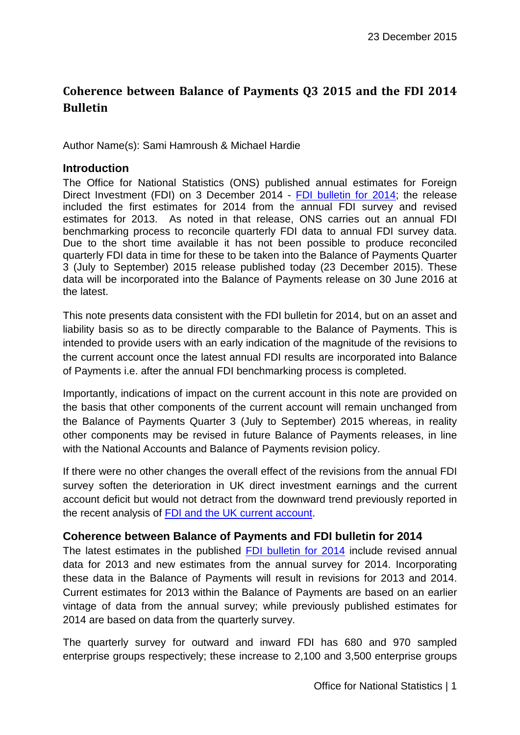# **Coherence between Balance of Payments Q3 2015 and the FDI 2014 Bulletin**

Author Name(s): Sami Hamroush & Michael Hardie

#### **Introduction**

The Office for National Statistics (ONS) published annual estimates for Foreign Direct Investment (FDI) on 3 December 2014 - [FDI bulletin for 2014;](http://www.ons.gov.uk/ons/rel/fdi/foreign-direct-investment/2014/stb-fdi-2014.html) the release included the first estimates for 2014 from the annual FDI survey and revised estimates for 2013. As noted in that release, ONS carries out an annual FDI benchmarking process to reconcile quarterly FDI data to annual FDI survey data. Due to the short time available it has not been possible to produce reconciled quarterly FDI data in time for these to be taken into the Balance of Payments Quarter 3 (July to September) 2015 release published today (23 December 2015). These data will be incorporated into the Balance of Payments release on 30 June 2016 at the latest.

This note presents data consistent with the FDI bulletin for 2014, but on an asset and liability basis so as to be directly comparable to the Balance of Payments. This is intended to provide users with an early indication of the magnitude of the revisions to the current account once the latest annual FDI results are incorporated into Balance of Payments i.e. after the annual FDI benchmarking process is completed.

Importantly, indications of impact on the current account in this note are provided on the basis that other components of the current account will remain unchanged from the Balance of Payments Quarter 3 (July to September) 2015 whereas, in reality other components may be revised in future Balance of Payments releases, in line with the National Accounts and Balance of Payments revision policy.

If there were no other changes the overall effect of the revisions from the annual FDI survey soften the deterioration in UK direct investment earnings and the current account deficit but would not detract from the downward trend previously reported in the recent analysis of [FDI and the UK current account.](http://www.ons.gov.uk/ons/rel/fdi/foreign-direct-investment/an-analysis-of-foreign-direct-investment---the-key-driver-of-the-recent-deterioration-in-the-uk-s-current-account/art-an-analysis-of-foreign-direct-investment.html)

#### **Coherence between Balance of Payments and FDI bulletin for 2014**

The latest estimates in the published [FDI bulletin for 2014](http://www.ons.gov.uk/ons/rel/fdi/foreign-direct-investment/2014/stb-fdi-2014.html) include revised annual data for 2013 and new estimates from the annual survey for 2014. Incorporating these data in the Balance of Payments will result in revisions for 2013 and 2014. Current estimates for 2013 within the Balance of Payments are based on an earlier vintage of data from the annual survey; while previously published estimates for 2014 are based on data from the quarterly survey.

The quarterly survey for outward and inward FDI has 680 and 970 sampled enterprise groups respectively; these increase to 2,100 and 3,500 enterprise groups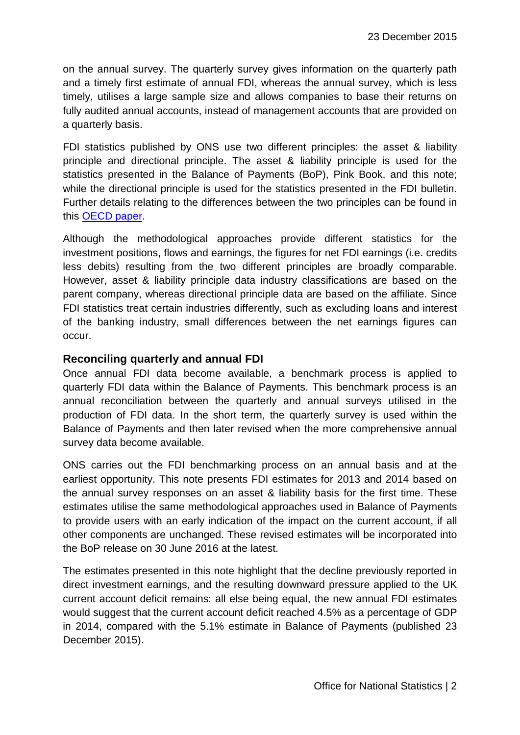on the annual survey. The quarterly survey gives information on the quarterly path and a timely first estimate of annual FDI, whereas the annual survey, which is less timely, utilises a large sample size and allows companies to base their returns on fully audited annual accounts, instead of management accounts that are provided on a quarterly basis.

FDI statistics published by ONS use two different principles: the asset & liability principle and directional principle. The asset & liability principle is used for the statistics presented in the Balance of Payments (BoP), Pink Book, and this note; while the directional principle is used for the statistics presented in the FDI bulletin. Further details relating to the differences between the two principles can be found in this [OECD paper.](http://www.oecd.org/daf/inv/FDI-statistics-asset-liability-vs-directional-presentation.pdf)

Although the methodological approaches provide different statistics for the investment positions, flows and earnings, the figures for net FDI earnings (i.e. credits less debits) resulting from the two different principles are broadly comparable. However, asset & liability principle data industry classifications are based on the parent company, whereas directional principle data are based on the affiliate. Since FDI statistics treat certain industries differently, such as excluding loans and interest of the banking industry, small differences between the net earnings figures can occur.

#### **Reconciling quarterly and annual FDI**

Once annual FDI data become available, a benchmark process is applied to quarterly FDI data within the Balance of Payments. This benchmark process is an annual reconciliation between the quarterly and annual surveys utilised in the production of FDI data. In the short term, the quarterly survey is used within the Balance of Payments and then later revised when the more comprehensive annual survey data become available.

ONS carries out the FDI benchmarking process on an annual basis and at the earliest opportunity. This note presents FDI estimates for 2013 and 2014 based on the annual survey responses on an asset & liability basis for the first time. These estimates utilise the same methodological approaches used in Balance of Payments to provide users with an early indication of the impact on the current account, if all other components are unchanged. These revised estimates will be incorporated into the BoP release on 30 June 2016 at the latest.

The estimates presented in this note highlight that the decline previously reported in direct investment earnings, and the resulting downward pressure applied to the UK current account deficit remains: all else being equal, the new annual FDI estimates would suggest that the current account deficit reached 4.5% as a percentage of GDP in 2014, compared with the 5.1% estimate in Balance of Payments (published 23 December 2015).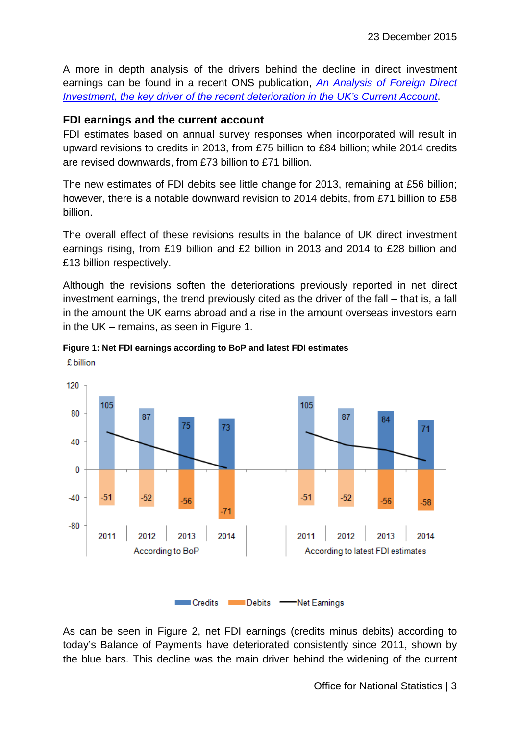A more in depth analysis of the drivers behind the decline in direct investment earnings can be found in a recent ONS publication, *[An Analysis of Foreign Direct](http://www.ons.gov.uk/ons/rel/fdi/foreign-direct-investment/an-analysis-of-foreign-direct-investment---the-key-driver-of-the-recent-deterioration-in-the-uk-s-current-account/art-an-analysis-of-foreign-direct-investment.html)  [Investment, the key driver of the recent deterioration in the UK's Current Account](http://www.ons.gov.uk/ons/rel/fdi/foreign-direct-investment/an-analysis-of-foreign-direct-investment---the-key-driver-of-the-recent-deterioration-in-the-uk-s-current-account/art-an-analysis-of-foreign-direct-investment.html)*.

### **FDI earnings and the current account**

FDI estimates based on annual survey responses when incorporated will result in upward revisions to credits in 2013, from £75 billion to £84 billion; while 2014 credits are revised downwards, from £73 billion to £71 billion.

The new estimates of FDI debits see little change for 2013, remaining at £56 billion; however, there is a notable downward revision to 2014 debits, from £71 billion to £58 billion.

The overall effect of these revisions results in the balance of UK direct investment earnings rising, from £19 billion and £2 billion in 2013 and 2014 to £28 billion and £13 billion respectively.

Although the revisions soften the deteriorations previously reported in net direct investment earnings, the trend previously cited as the driver of the fall – that is, a fall in the amount the UK earns abroad and a rise in the amount overseas investors earn in the UK – remains, as seen in Figure 1.



**Figure 1: Net FDI earnings according to BoP and latest FDI estimates** £ billion

As can be seen in Figure 2, net FDI earnings (credits minus debits) according to today's Balance of Payments have deteriorated consistently since 2011, shown by the blue bars. This decline was the main driver behind the widening of the current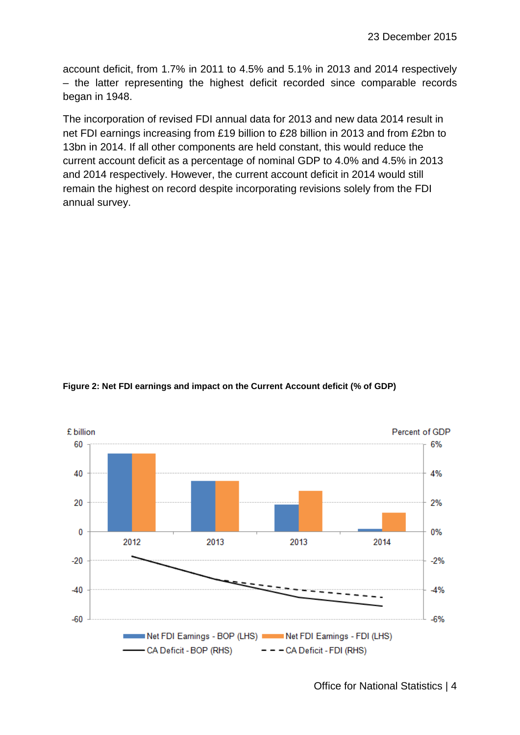account deficit, from 1.7% in 2011 to 4.5% and 5.1% in 2013 and 2014 respectively – the latter representing the highest deficit recorded since comparable records began in 1948.

The incorporation of revised FDI annual data for 2013 and new data 2014 result in net FDI earnings increasing from £19 billion to £28 billion in 2013 and from £2bn to 13bn in 2014. If all other components are held constant, this would reduce the current account deficit as a percentage of nominal GDP to 4.0% and 4.5% in 2013 and 2014 respectively. However, the current account deficit in 2014 would still remain the highest on record despite incorporating revisions solely from the FDI annual survey.





Office for National Statistics | 4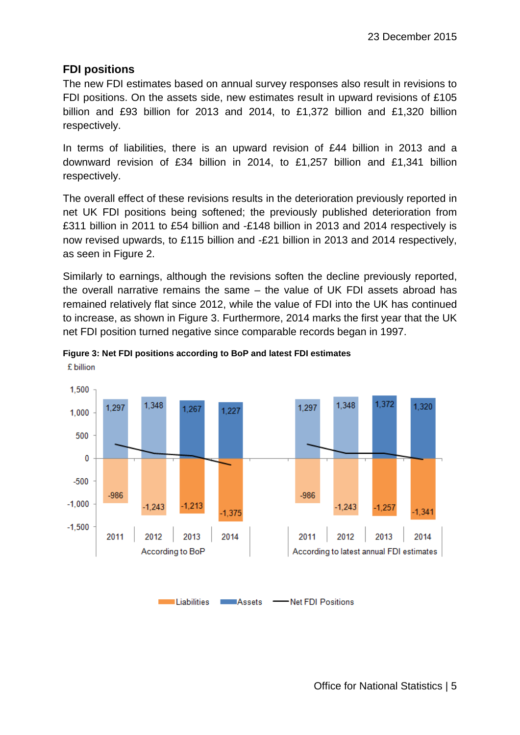# **FDI positions**

£ billion

The new FDI estimates based on annual survey responses also result in revisions to FDI positions. On the assets side, new estimates result in upward revisions of £105 billion and £93 billion for 2013 and 2014, to £1,372 billion and £1,320 billion respectively.

In terms of liabilities, there is an upward revision of £44 billion in 2013 and a downward revision of £34 billion in 2014, to £1,257 billion and £1,341 billion respectively.

The overall effect of these revisions results in the deterioration previously reported in net UK FDI positions being softened; the previously published deterioration from £311 billion in 2011 to £54 billion and -£148 billion in 2013 and 2014 respectively is now revised upwards, to £115 billion and -£21 billion in 2013 and 2014 respectively, as seen in Figure 2.

Similarly to earnings, although the revisions soften the decline previously reported, the overall narrative remains the same – the value of UK FDI assets abroad has remained relatively flat since 2012, while the value of FDI into the UK has continued to increase, as shown in Figure 3. Furthermore, 2014 marks the first year that the UK net FDI position turned negative since comparable records began in 1997.



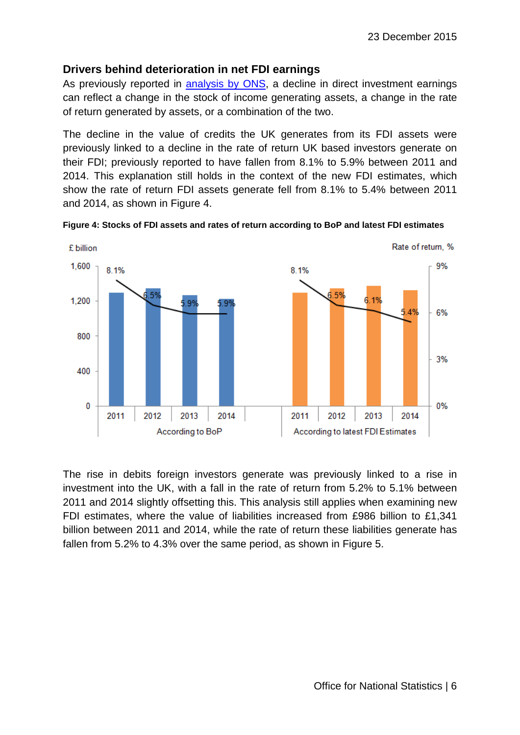# **Drivers behind deterioration in net FDI earnings**

As previously reported in [analysis by ONS,](http://www.ons.gov.uk/ons/rel/fdi/foreign-direct-investment/an-analysis-of-foreign-direct-investment---the-key-driver-of-the-recent-deterioration-in-the-uk-s-current-account/art-an-analysis-of-foreign-direct-investment.html) a decline in direct investment earnings can reflect a change in the stock of income generating assets, a change in the rate of return generated by assets, or a combination of the two.

The decline in the value of credits the UK generates from its FDI assets were previously linked to a decline in the rate of return UK based investors generate on their FDI; previously reported to have fallen from 8.1% to 5.9% between 2011 and 2014. This explanation still holds in the context of the new FDI estimates, which show the rate of return FDI assets generate fell from 8.1% to 5.4% between 2011 and 2014, as shown in Figure 4.



**Figure 4: Stocks of FDI assets and rates of return according to BoP and latest FDI estimates**

The rise in debits foreign investors generate was previously linked to a rise in investment into the UK, with a fall in the rate of return from 5.2% to 5.1% between 2011 and 2014 slightly offsetting this. This analysis still applies when examining new FDI estimates, where the value of liabilities increased from £986 billion to £1,341 billion between 2011 and 2014, while the rate of return these liabilities generate has fallen from 5.2% to 4.3% over the same period, as shown in Figure 5.